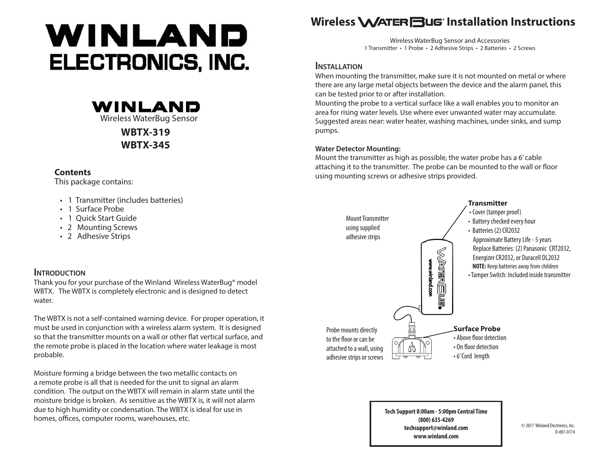# WINLAND ELECTRONICS, INC.



**WBTX-319 WBTX-345**

# **Contents**

This package contains:

- 1 Transmitter (includes batteries)
- 1 Surface Probe
- 1 Quick Start Guide
- 2 Mounting Screws
- 2 Adhesive Strips

# **INTRODUCTION**

Thank you for your purchase of the Winland Wireless WaterBug® model WBTX. The WBTX is completely electronic and is designed to detect water.

The WBTX is not a self-contained warning device. For proper operation, it must be used in conjunction with a wireless alarm system. It is designed so that the transmitter mounts on a wall or other flat vertical surface, and the remote probe is placed in the location where water leakage is most probable.

Moisture forming a bridge between the two metallic contacts on a remote probe is all that is needed for the unit to signal an alarm condition. The output on the WBTX will remain in alarm state until the moisture bridge is broken. As sensitive as the WBTX is, it will not alarm due to high humidity or condensation. The WBTX is ideal for use in homes, offices, computer rooms, warehouses, etc.

# Wireless **WATER BUG** Installation Instructions

Wireless WaterBug Sensor and Accessories 1 Transmitter • 1 Probe • 2 Adhesive Strips • 2 Batteries • 2 Screws

# **Installation**

When mounting the transmitter, make sure it is not mounted on metal or where there are any large metal objects between the device and the alarm panel, this can be tested prior to or after installation.

Mounting the probe to a vertical surface like a wall enables you to monitor an area for rising water levels. Use where ever unwanted water may accumulate. Suggested areas near: water heater, washing machines, under sinks, and sump pumps.

## **Water Detector Mounting:**

Mount the transmitter as high as possible, the water probe has a 6' cable attaching it to the transmitter. The probe can be mounted to the wall or floor using mounting screws or adhesive strips provided.



**Tech Support 8:00am - 5:00pm Central Time (800) 635-4269 techsupport@winland.com www.winland.com**